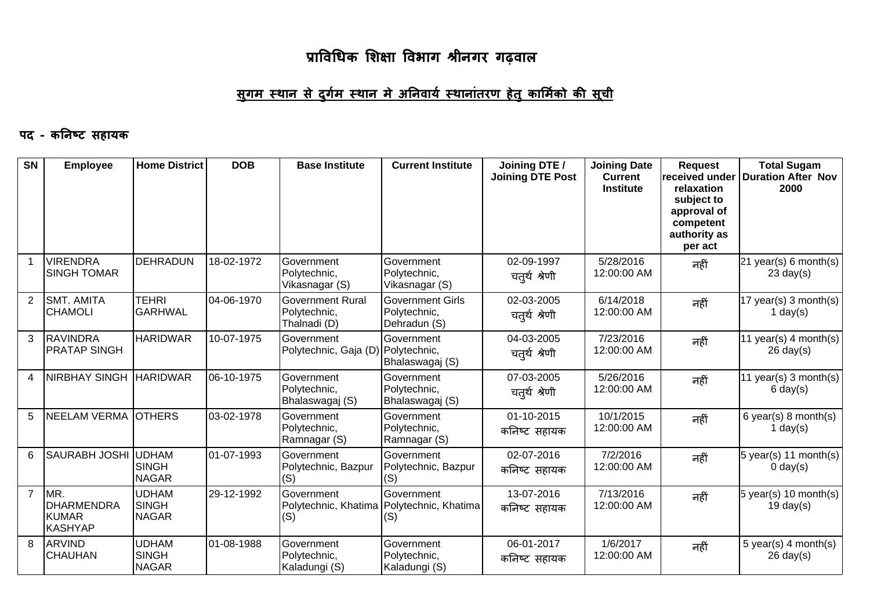## <u>सुगम स्थान से दुर्गम स्थान मे अनिवार्य स्थानांतरण हेतु कार्मिको की सूची</u>

#### पद - कनिष्ट सहायक

| <b>SN</b>      | <b>Employee</b>                                            | <b>Home District</b>                         | <b>DOB</b> | <b>Base Institute</b>                                            | <b>Current Institute</b>                                | Joining DTE /<br><b>Joining DTE Post</b> | <b>Joining Date</b><br><b>Current</b><br><b>Institute</b> | <b>Request</b><br>received under<br>relaxation<br>subject to<br>approval of<br>competent<br>authority as<br>per act | <b>Total Sugam</b><br>Duration After Nov<br>2000 |
|----------------|------------------------------------------------------------|----------------------------------------------|------------|------------------------------------------------------------------|---------------------------------------------------------|------------------------------------------|-----------------------------------------------------------|---------------------------------------------------------------------------------------------------------------------|--------------------------------------------------|
|                | <b>VIRENDRA</b><br><b>SINGH TOMAR</b>                      | <b>DEHRADUN</b>                              | 18-02-1972 | Government<br>Polytechnic,<br>Vikasnagar (S)                     | Government<br>Polytechnic,<br>Vikasnagar (S)            | 02-09-1997<br>चतुर्थ श्रेणी              | 5/28/2016<br>12:00:00 AM                                  | नहीं                                                                                                                | 21 year(s) 6 month(s)<br>$23 \text{ day}(s)$     |
| $\overline{2}$ | <b>SMT. AMITA</b><br><b>CHAMOLI</b>                        | <b>TEHRI</b><br><b>GARHWAL</b>               | 04-06-1970 | <b>Government Rural</b><br>Polytechnic,<br>Thalnadi (D)          | <b>Government Girls</b><br>Polytechnic,<br>Dehradun (S) | 02-03-2005<br>चतुर्थ श्रेणी              | 6/14/2018<br>12:00:00 AM                                  | नहीं                                                                                                                | 17 year(s) 3 month(s)<br>1 day $(s)$             |
| 3              | <b>RAVINDRA</b><br><b>PRATAP SINGH</b>                     | <b>HARIDWAR</b>                              | 10-07-1975 | Government<br>Polytechnic, Gaja (D) Polytechnic,                 | Government<br>Bhalaswagaj (S)                           | 04-03-2005<br>चतुर्थ श्रेणी              | 7/23/2016<br>12:00:00 AM                                  | नहीं                                                                                                                | 11 year(s) 4 month(s)<br>$26 \text{ day}(s)$     |
| 4              | <b>NIRBHAY SINGH</b>                                       | <b>HARIDWAR</b>                              | 06-10-1975 | Government<br>Polytechnic,<br>Bhalaswagaj (S)                    | Government<br>Polytechnic,<br>Bhalaswagaj (S)           | 07-03-2005<br>चतुर्थ श्रेणी              | 5/26/2016<br>12:00:00 AM                                  | नहीं                                                                                                                | 11 year(s) 3 month(s)<br>$6 \text{ day}(s)$      |
| 5              | <b>NEELAM VERMA</b>                                        | <b>OTHERS</b>                                | 03-02-1978 | Government<br>Polytechnic,<br>Ramnagar (S)                       | Government<br>Polytechnic,<br>Ramnagar (S)              | 01-10-2015<br>कनिष्ट सहायक               | 10/1/2015<br>12:00:00 AM                                  | नहीं                                                                                                                | 6 year(s) $8$ month(s)<br>1 day $(s)$            |
| 6              | <b>SAURABH JOSHI</b>                                       | <b>UDHAM</b><br><b>SINGH</b><br><b>NAGAR</b> | 01-07-1993 | Government<br>Polytechnic, Bazpur<br>(S)                         | Government<br>Polytechnic, Bazpur<br>(S)                | 02-07-2016<br>कनिष्ट सहायक               | 7/2/2016<br>12:00:00 AM                                   | नहीं                                                                                                                | 5 year(s) 11 month(s)<br>$0 \text{ day}(s)$      |
| $\overline{7}$ | MR.<br><b>DHARMENDRA</b><br><b>KUMAR</b><br><b>KASHYAP</b> | <b>UDHAM</b><br><b>SINGH</b><br><b>NAGAR</b> | 29-12-1992 | Government<br>Polytechnic, Khatima   Polytechnic, Khatima<br>(S) | Government<br>(S)                                       | 13-07-2016<br>कनिष्ट सहायक               | 7/13/2016<br>12:00:00 AM                                  | नहीं                                                                                                                | 5 year(s) 10 month(s)<br>$19$ day(s)             |
| 8              | <b>ARVIND</b><br><b>CHAUHAN</b>                            | <b>UDHAM</b><br><b>SINGH</b><br><b>NAGAR</b> | 01-08-1988 | Government<br>Polytechnic,<br>Kaladungi (S)                      | Government<br>Polytechnic,<br>Kaladungi (S)             | 06-01-2017<br>कनिष्ट सहायक               | 1/6/2017<br>12:00:00 AM                                   | नहीं                                                                                                                | 5 year(s) 4 month(s)<br>$26 \text{ day}(s)$      |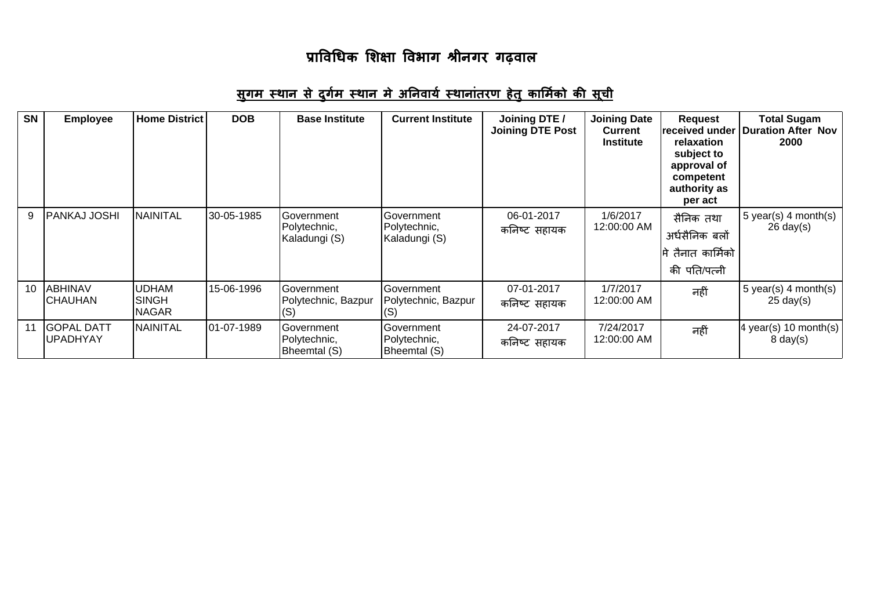## <u>सुगम स्थान से दुर्गम स्थान मे अनिवार्य स्थानांतरण हेतु कार्मिको की सूची</u>

| <b>SN</b> | <b>Employee</b>                      | <b>Home District</b>                         | <b>DOB</b> | <b>Base Institute</b>                       | <b>Current Institute</b>                    | Joining DTE /<br><b>Joining DTE Post</b> | <b>Joining Date</b><br><b>Current</b><br><b>Institute</b> | <b>Request</b><br>received under<br>relaxation<br>subject to<br>approval of<br>competent<br>authority as<br>per act | <b>Total Sugam</b><br><b>Duration After Nov</b><br>2000 |
|-----------|--------------------------------------|----------------------------------------------|------------|---------------------------------------------|---------------------------------------------|------------------------------------------|-----------------------------------------------------------|---------------------------------------------------------------------------------------------------------------------|---------------------------------------------------------|
| 9         | <b>PANKAJ JOSHI</b>                  | NAINITAL                                     | 30-05-1985 | Government<br>Polytechnic,<br>Kaladungi (S) | Government<br>Polytechnic,<br>Kaladungi (S) | 06-01-2017<br>कनिष्ट सहायक               | 1/6/2017<br>12:00:00 AM                                   | सैनिक तथा<br>अर्धसैनिक बलों<br>तैनात कार्मिको<br>की पति/पत्नी                                                       | 5 year(s) 4 month(s)<br>$26 \text{ day}(s)$             |
| 10        | ABHINAV<br><b>CHAUHAN</b>            | <b>UDHAM</b><br><b>SINGH</b><br><b>NAGAR</b> | 15-06-1996 | Government<br>Polytechnic, Bazpur<br>(S)    | Government<br>Polytechnic, Bazpur<br>(S)    | 07-01-2017<br>कनिष्ट सहायक               | 1/7/2017<br>12:00:00 AM                                   | नहीं                                                                                                                | 5 year(s) 4 month(s)<br>$25 \text{ day}(s)$             |
| 11        | <b>GOPAL DATT</b><br><b>UPADHYAY</b> | <b>NAINITAL</b>                              | 01-07-1989 | Government<br>Polytechnic,<br>Bheemtal (S)  | Government<br>Polytechnic,<br>Bheemtal (S)  | 24-07-2017<br>कनिष्ट सहायक               | 7/24/2017<br>12:00:00 AM                                  | नहीं                                                                                                                | 4 year(s) 10 month(s)<br>$8 \text{ day}(s)$             |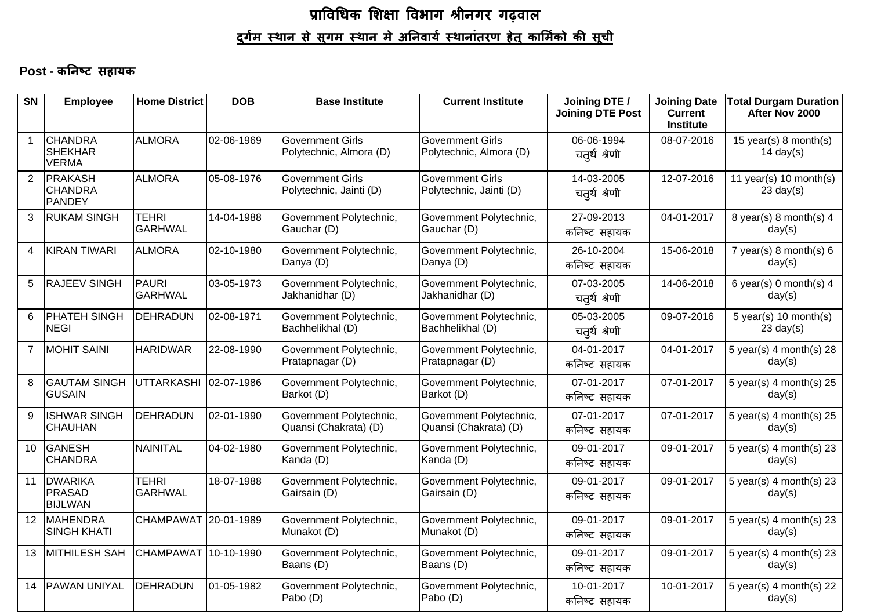#### Post - कनिष्ट सहायक

| <b>SN</b>      | <b>Employee</b>                                   | <b>Home District</b>           | <b>DOB</b> | <b>Base Institute</b>                              | <b>Current Institute</b>                                                          | Joining DTE /<br><b>Joining DTE Post</b> | <b>Joining Date</b><br><b>Current</b><br><b>Institute</b> | <b>Total Durgam Duration</b><br>After Nov 2000 |
|----------------|---------------------------------------------------|--------------------------------|------------|----------------------------------------------------|-----------------------------------------------------------------------------------|------------------------------------------|-----------------------------------------------------------|------------------------------------------------|
| $\mathbf{1}$   | <b>CHANDRA</b><br><b>SHEKHAR</b><br>VERMA         | <b>ALMORA</b>                  | 02-06-1969 | <b>Government Girls</b><br>Polytechnic, Almora (D) | <b>Government Girls</b><br>Polytechnic, Almora (D)                                | 06-06-1994<br>चतुर्थ श्रेणी              | 08-07-2016                                                | 15 year(s) 8 month(s)<br>14 day(s)             |
| $\overline{2}$ | <b>PRAKASH</b><br><b>CHANDRA</b><br><b>PANDEY</b> | <b>ALMORA</b>                  | 05-08-1976 | <b>Government Girls</b><br>Polytechnic, Jainti (D) | 14-03-2005<br><b>Government Girls</b><br>Polytechnic, Jainti (D)<br>चतुर्थ श्रेणी |                                          | 12-07-2016                                                | 11 year(s) 10 month(s)<br>$23 \text{ day}(s)$  |
| 3              | <b>RUKAM SINGH</b>                                | <b>TEHRI</b><br><b>GARHWAL</b> | 14-04-1988 | Government Polytechnic,<br>Gauchar (D)             | 27-09-2013<br>Government Polytechnic,<br>Gauchar (D)<br>कनिष्ट सहायक              |                                          | 04-01-2017                                                | 8 year(s) 8 month(s) 4<br>day(s)               |
| $\overline{4}$ | KIRAN TIWARI                                      | <b>ALMORA</b>                  | 02-10-1980 | Government Polytechnic,<br>Danya (D)               | Government Polytechnic,<br>Danya (D)                                              | 26-10-2004<br>कनिष्ट सहायक               | 15-06-2018                                                | 7 year(s) $8$ month(s) $6$<br>day(s)           |
| 5              | <b>RAJEEV SINGH</b>                               | PAURI<br><b>GARHWAL</b>        | 03-05-1973 | Government Polytechnic,<br>Jakhanidhar (D)         | Government Polytechnic,<br>Jakhanidhar (D)                                        | 07-03-2005<br>चतुर्थ श्रेणी              | 14-06-2018                                                | 6 year(s) 0 month(s) $4$<br>day(s)             |
| 6              | PHATEH SINGH<br><b>NEGI</b>                       | <b>DEHRADUN</b>                | 02-08-1971 | Government Polytechnic,<br>Bachhelikhal (D)        | Government Polytechnic,<br>Bachhelikhal (D)                                       | 05-03-2005<br>चतुर्थ श्रेणी              | 09-07-2016                                                | $5$ year(s) 10 month(s)<br>$23 \text{ day}(s)$ |
| $\overline{7}$ | MOHIT SAINI                                       | <b>HARIDWAR</b>                | 22-08-1990 | Government Polytechnic,<br>Pratapnagar (D)         | Government Polytechnic,<br>Pratapnagar (D)                                        | 04-01-2017<br>कनिष्ट सहायक               | 04-01-2017                                                | 5 year(s) $4$ month(s) 28<br>day(s)            |
| 8              | <b>GAUTAM SINGH</b><br><b>GUSAIN</b>              | UTTARKASHI                     | 02-07-1986 | Government Polytechnic,<br>Barkot (D)              | Government Polytechnic,<br>Barkot (D)                                             | 07-01-2017<br>कनिष्ट सहायक               | 07-01-2017                                                | 5 year(s) $4$ month(s) 25<br>day(s)            |
| 9              | <b>ISHWAR SINGH</b><br><b>CHAUHAN</b>             | DEHRADUN                       | 02-01-1990 | Government Polytechnic,<br>Quansi (Chakrata) (D)   | Government Polytechnic,<br>Quansi (Chakrata) (D)                                  | 07-01-2017<br>कनिष्ट सहायक               | 07-01-2017                                                | 5 year(s) $4$ month(s) $25$<br>day(s)          |
| 10             | <b>GANESH</b><br><b>CHANDRA</b>                   | <b>NAINITAL</b>                | 04-02-1980 | Government Polytechnic,<br>Kanda (D)               | Government Polytechnic,<br>Kanda (D)                                              | 09-01-2017<br>कनिष्ट सहायक               | 09-01-2017                                                | 5 year(s) $4$ month(s) 23<br>day(s)            |
| 11             | <b>DWARIKA</b><br><b>PRASAD</b><br><b>BIJLWAN</b> | <b>TEHRI</b><br><b>GARHWAL</b> | 18-07-1988 | Government Polytechnic,<br>Gairsain (D)            | Government Polytechnic,<br>Gairsain (D)                                           | 09-01-2017<br>कनिष्ट सहायक               | 09-01-2017                                                | 5 year(s) 4 month(s) $23$<br>day(s)            |
|                | 12 MAHENDRA<br><b>SINGH KHATI</b>                 | CHAMPAWAT 20-01-1989           |            | Government Polytechnic,<br>Munakot (D)             | Government Polytechnic,<br>Munakot (D)                                            | 09-01-2017<br>कनिष्ट सहायक               | 09-01-2017                                                | 5 year(s) $4$ month(s) 23<br>day(s)            |
| 13             | <b>MITHILESH SAH</b>                              | CHAMPAWAT 10-10-1990           |            | Government Polytechnic,<br>Baans (D)               | Government Polytechnic,<br>Baans (D)                                              | 09-01-2017<br>कनिष्ट सहायक               | 09-01-2017                                                | 5 year(s) $4$ month(s) 23<br>day(s)            |
| 14             | <b>PAWAN UNIYAL</b>                               | <b>DEHRADUN</b>                | 01-05-1982 | Government Polytechnic,<br>Pabo (D)                | Government Polytechnic,<br>Pabo (D)                                               | 10-01-2017<br>कनिष्ट सहायक               | 10-01-2017                                                | 5 year(s) 4 month(s) $22$<br>day(s)            |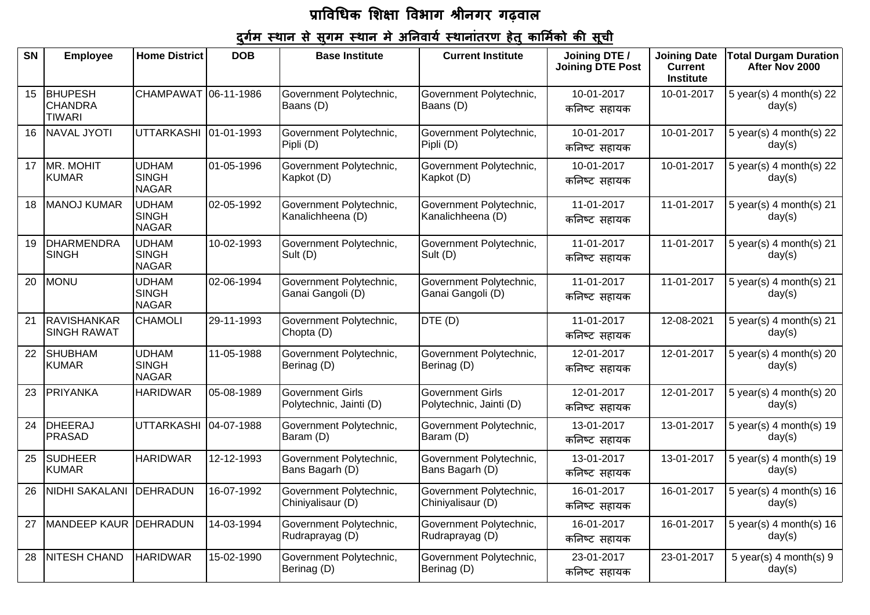## <u>दुर्गम स्थान से सुगम स्थान मे अनिवार्य स्थानांतरण हेतु कार्मिको की सूची</u>

| SN | <b>Employee</b>                                   | <b>Home District</b>                         | <b>DOB</b> | <b>Base Institute</b>                              | <b>Current Institute</b>                                           | Joining DTE /<br><b>Joining DTE Post</b> | <b>Joining Date</b><br><b>Current</b><br><b>Institute</b> | <b>Total Durgam Duration</b><br>After Nov 2000 |
|----|---------------------------------------------------|----------------------------------------------|------------|----------------------------------------------------|--------------------------------------------------------------------|------------------------------------------|-----------------------------------------------------------|------------------------------------------------|
| 15 | <b>BHUPESH</b><br><b>CHANDRA</b><br><b>TIWARI</b> | CHAMPAWAT 06-11-1986                         |            | Government Polytechnic,<br>Baans (D)               | Government Polytechnic,<br>Baans (D)                               | 10-01-2017<br>कनिष्ट सहायक               | 10-01-2017                                                | 5 year(s) 4 month(s) 22<br>day(s)              |
| 16 | <b>NAVAL JYOTI</b>                                | <b>UTTARKASHI</b>                            | 01-01-1993 | Government Polytechnic,<br>Pipli (D)               | Government Polytechnic,<br>10-01-2017<br>Pipli (D)<br>कनिष्ट सहायक |                                          | 10-01-2017                                                | 5 year(s) $4$ month(s) 22<br>day(s)            |
| 17 | MR. MOHIT<br><b>KUMAR</b>                         | <b>UDHAM</b><br><b>SINGH</b><br><b>NAGAR</b> | 01-05-1996 | Government Polytechnic,<br>Kapkot (D)              | Government Polytechnic,<br>Kapkot (D)                              | 10-01-2017<br>कनिष्ट सहायक               | 10-01-2017                                                | 5 year(s) 4 month(s) 22<br>day(s)              |
| 18 | <b>MANOJ KUMAR</b>                                | <b>UDHAM</b><br><b>SINGH</b><br><b>NAGAR</b> | 02-05-1992 | Government Polytechnic,<br>Kanalichheena (D)       | Government Polytechnic,<br>Kanalichheena (D)                       | 11-01-2017<br>कनिष्ट सहायक               | 11-01-2017                                                | 5 year(s) $4$ month(s) $21$<br>day(s)          |
| 19 | <b>DHARMENDRA</b><br><b>SINGH</b>                 | <b>UDHAM</b><br><b>SINGH</b><br><b>NAGAR</b> | 10-02-1993 | Government Polytechnic,<br>Sult (D)                | Government Polytechnic,<br>Sult (D)                                | 11-01-2017<br>कनिष्ट सहायक               | 11-01-2017                                                | 5 year(s) 4 month(s) 21<br>day(s)              |
| 20 | <b>MONU</b>                                       | <b>UDHAM</b><br><b>SINGH</b><br><b>NAGAR</b> | 02-06-1994 | Government Polytechnic,<br>Ganai Gangoli (D)       | Government Polytechnic,<br>Ganai Gangoli (D)                       | 11-01-2017<br>कनिष्ट सहायक               | 11-01-2017                                                | 5 year(s) 4 month(s) 21<br>day(s)              |
| 21 | <b>RAVISHANKAR</b><br><b>SINGH RAWAT</b>          | <b>CHAMOLI</b>                               | 29-11-1993 | Government Polytechnic,<br>Chopta (D)              | DTE (D)                                                            | 11-01-2017<br>कनिष्ट सहायक               | 12-08-2021                                                | 5 year(s) $4$ month(s) $21$<br>day(s)          |
| 22 | <b>SHUBHAM</b><br><b>KUMAR</b>                    | <b>UDHAM</b><br><b>SINGH</b><br><b>NAGAR</b> | 11-05-1988 | Government Polytechnic,<br>Berinag (D)             | Government Polytechnic,<br>Berinag (D)                             | 12-01-2017<br>कनिष्ट सहायक               | 12-01-2017                                                | $5$ year(s) 4 month(s) 20<br>day(s)            |
| 23 | <b>PRIYANKA</b>                                   | <b>HARIDWAR</b>                              | 05-08-1989 | <b>Government Girls</b><br>Polytechnic, Jainti (D) | <b>Government Girls</b><br>Polytechnic, Jainti (D)                 | 12-01-2017<br>कनिष्ट सहायक               | 12-01-2017                                                | 5 year(s) $4$ month(s) $20$<br>day(s)          |
| 24 | DHEERAJ<br><b>PRASAD</b>                          | <b>UTTARKASHI</b>                            | 04-07-1988 | Government Polytechnic,<br>Baram (D)               | Government Polytechnic,<br>Baram (D)                               | 13-01-2017<br>कनिष्ट सहायक               | 13-01-2017                                                | 5 year(s) 4 month(s) $19$<br>day(s)            |
| 25 | <b>SUDHEER</b><br><b>KUMAR</b>                    | <b>HARIDWAR</b>                              | 12-12-1993 | Government Polytechnic,<br>Bans Bagarh (D)         | Government Polytechnic,<br>Bans Bagarh (D)                         | 13-01-2017<br>कनिष्ट सहायक               | 13-01-2017                                                | 5 year(s) $4$ month(s) 19<br>day(s)            |
| 26 | NIDHI SAKALANI                                    | DEHRADUN                                     | 16-07-1992 | Government Polytechnic,<br>Chiniyalisaur (D)       | Government Polytechnic,<br>Chiniyalisaur (D)                       | 16-01-2017<br>कनिष्ट सहायक               | 16-01-2017                                                | 5 year(s) $4$ month(s) $16$<br>day(s)          |
| 27 | MANDEEP KAUR DEHRADUN                             |                                              | 14-03-1994 | Government Polytechnic,<br>Rudraprayag (D)         | Government Polytechnic,<br>Rudraprayag (D)                         | 16-01-2017<br>कनिष्ट सहायक               | 16-01-2017                                                | 5 year(s) 4 month(s) $16$<br>day(s)            |
| 28 | <b>NITESH CHAND</b>                               | <b>HARIDWAR</b>                              | 15-02-1990 | Government Polytechnic,<br>Berinag (D)             | Government Polytechnic,<br>Berinag (D)                             | 23-01-2017<br>कनिष्ट सहायक               | 23-01-2017                                                | $5$ year(s) 4 month(s) 9<br>day(s)             |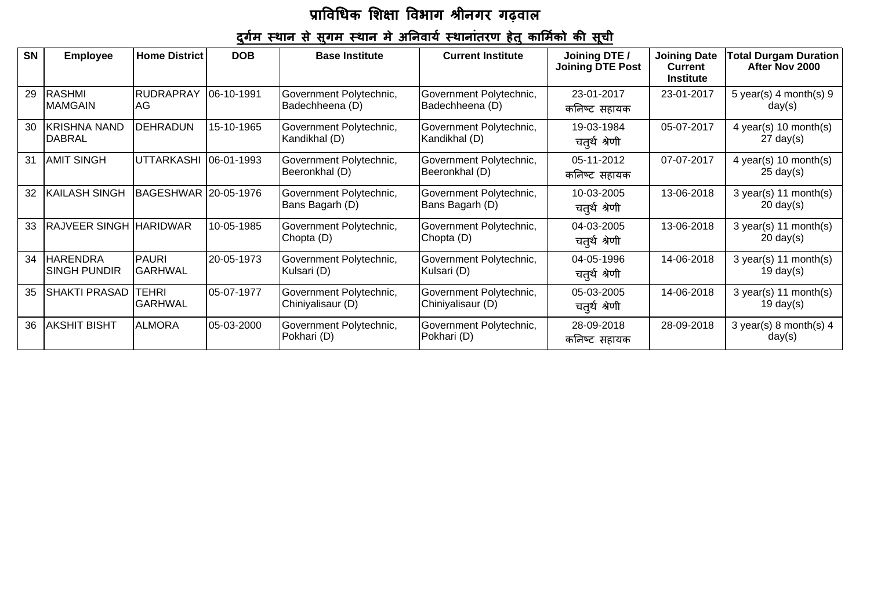## <u>दुर्गम स्थान से सुगम स्थान मे अनिवार्य स्थानांतरण हेतु कार्मिको की सूची</u>

| <b>SN</b> | <b>Employee</b>                        | <b>Home District</b>           | <b>DOB</b> | <b>Base Institute</b>                        | <b>Current Institute</b>                     | Joining DTE /<br><b>Joining DTE Post</b>  | <b>Joining Date</b><br><b>Current</b><br><b>Institute</b> | Total Durgam Duration  <br>After Nov 2000              |
|-----------|----------------------------------------|--------------------------------|------------|----------------------------------------------|----------------------------------------------|-------------------------------------------|-----------------------------------------------------------|--------------------------------------------------------|
| 29        | <b>RASHMI</b><br><b>MAMGAIN</b>        | <b>RUDRAPRAY</b><br>IAG        | 06-10-1991 | Government Polytechnic,<br>Badechheena (D)   | Government Polytechnic,<br>Badechheena (D)   | 23-01-2017<br>कनिष्ट सहायक                | 23-01-2017                                                | 5 year(s) $4$ month(s) $9$<br>day(s)                   |
| 30        | <b>KRISHNA NAND</b><br><b>DABRAL</b>   | <b>DEHRADUN</b>                | 15-10-1965 | Government Polytechnic,<br>Kandikhal (D)     | Government Polytechnic,<br>Kandikhal (D)     | 05-07-2017<br>19-03-1984<br>चतुर्थ श्रेणी |                                                           | 4 year(s) 10 month(s)<br>$27 \text{ day}(s)$           |
| 31        | <b>AMIT SINGH</b>                      | UTTARKASHI                     | 06-01-1993 | Government Polytechnic,<br>Beeronkhal (D)    | Government Polytechnic,<br>Beeronkhal (D)    | 05-11-2012<br>कनिष्ट सहायक                | 07-07-2017                                                | 4 year(s) 10 month(s)<br>$25 \text{ day}(s)$           |
| 32        | <b>KAILASH SINGH</b>                   | BAGESHWAR 20-05-1976           |            | Government Polytechnic,<br>Bans Bagarh (D)   | Government Polytechnic,<br>Bans Bagarh (D)   | 10-03-2005<br>चतुर्थ श्रेणी               | 13-06-2018                                                | $3 \text{ year}(s)$ 11 month(s)<br>$20 \text{ day}(s)$ |
| 33        | <b>RAJVEER SINGH HARIDWAR</b>          |                                | 10-05-1985 | Government Polytechnic,<br>Chopta (D)        | Government Polytechnic,<br>Chopta (D)        | 04-03-2005<br>चतुर्थ श्रेणी               | 13-06-2018                                                | $3 \text{ year}(s)$ 11 month(s)<br>$20 \text{ day}(s)$ |
| 34        | <b>HARENDRA</b><br><b>SINGH PUNDIR</b> | <b>PAURI</b><br><b>GARHWAL</b> | 20-05-1973 | Government Polytechnic,<br>Kulsari (D)       | Government Polytechnic,<br>Kulsari (D)       | 04-05-1996<br>चतुर्थ श्रेणी               | 14-06-2018                                                | $3 \text{ year}(s)$ 11 month(s)<br>19 day $(s)$        |
| 35        | <b>SHAKTI PRASAD</b>                   | <b>TEHRI</b><br><b>GARHWAL</b> | 05-07-1977 | Government Polytechnic,<br>Chiniyalisaur (D) | Government Polytechnic,<br>Chiniyalisaur (D) | 05-03-2005<br>चतुर्थ श्रेणी               | 14-06-2018                                                | $3 \text{ year}(s)$ 11 month(s)<br>$19 \text{ day}(s)$ |
| 36        | <b>AKSHIT BISHT</b>                    | <b>ALMORA</b>                  | 05-03-2000 | Government Polytechnic,<br>Pokhari (D)       | Government Polytechnic,<br>Pokhari (D)       | 28-09-2018<br>कनिष्ट सहायक                | 28-09-2018                                                | 3 year(s) 8 month(s) $4$<br>day(s)                     |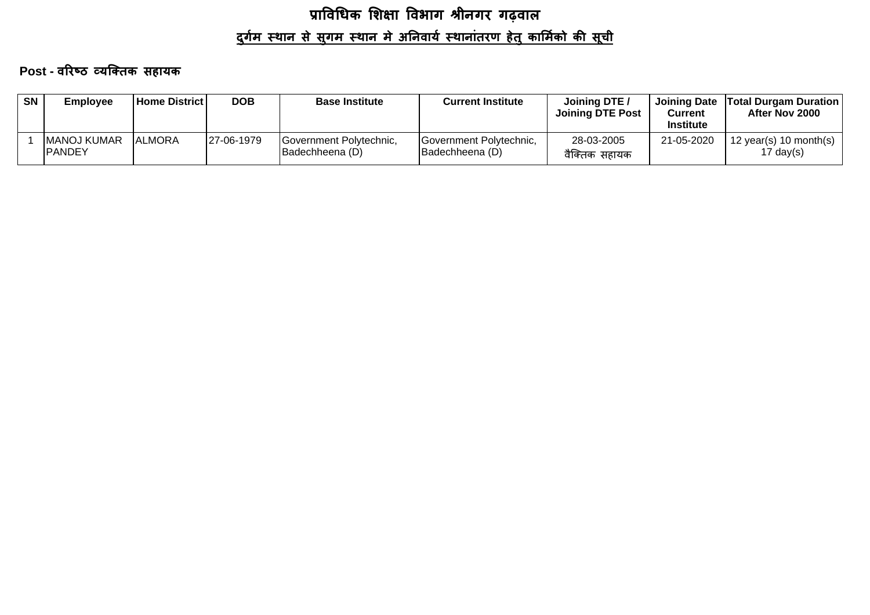Post - वरिष्ठ व्यक्तिक सहायक

| <b>SN</b> | <b>Employee</b>                       | <b>Home District</b> | <b>DOB</b> | <b>Base Institute</b>                              | <b>Current Institute</b>                   | Joining DTE /<br><b>Joining DTE Post</b> | <b>Joining Date</b><br>Current<br><b>Institute</b> | <b>Total Durgam Duration</b><br>After Nov 2000 |
|-----------|---------------------------------------|----------------------|------------|----------------------------------------------------|--------------------------------------------|------------------------------------------|----------------------------------------------------|------------------------------------------------|
|           | <b>IMANOJ KUMAR</b><br><b>IPANDEY</b> | <b>ALMORA</b>        | 27-06-1979 | Government Polytechnic,<br><b>IBadechheena</b> (D) | Government Polytechnic,<br>(D) Badechheena | 28-03-2005<br>वैक्तिक सहायक              | 21-05-2020                                         | 12 year(s) 10 month(s)<br>17 day(s)            |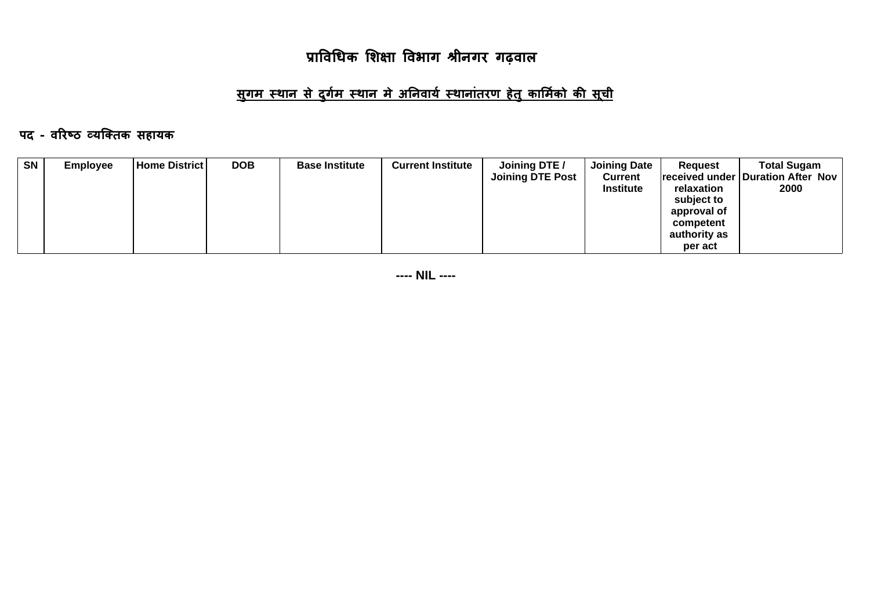## <u>सुगम स्थान से दुर्गम स्थान मे अनिवार्य स्थानांतरण हेतु कार्मिको की सूची</u>

#### पद - वरिष्ठ व्यक्तिक सहायक

| <b>SN</b> | <b>Employee</b> | <b>Home District</b> | <b>DOB</b> | <b>Base Institute</b> | <b>Current Institute</b> | Joining DTE /<br><b>Joining DTE Post</b> | <b>Joining Date</b><br><b>Current</b><br><b>Institute</b> | Request<br>relaxation                  | <b>Total Sugam</b><br> received under   Duration After Nov  <br>2000 |
|-----------|-----------------|----------------------|------------|-----------------------|--------------------------|------------------------------------------|-----------------------------------------------------------|----------------------------------------|----------------------------------------------------------------------|
|           |                 |                      |            |                       |                          |                                          |                                                           | subject to<br>approval of<br>competent |                                                                      |
|           |                 |                      |            |                       |                          |                                          |                                                           | authority as<br>per act                |                                                                      |

**---- NIL ----**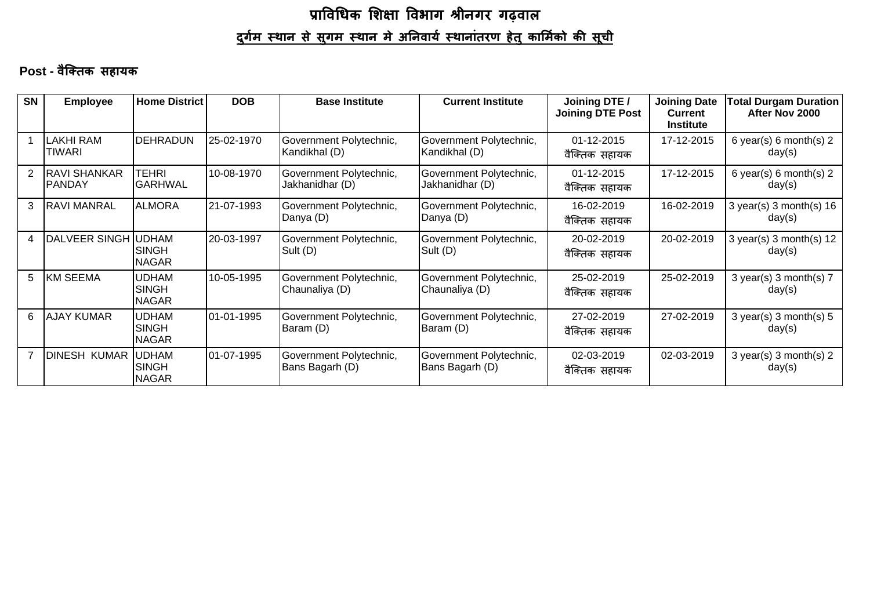#### Post - वैक्तिक सहायक

| <b>SN</b>      | <b>Employee</b>                      | <b>Home District</b>                         | <b>DOB</b> | <b>Base Institute</b>                      | <b>Current Institute</b>                                                  | Joining DTE /<br><b>Joining DTE Post</b> | <b>Joining Date</b><br><b>Current</b><br><b>Institute</b> | Total Durgam Duration<br>After Nov 2000 |
|----------------|--------------------------------------|----------------------------------------------|------------|--------------------------------------------|---------------------------------------------------------------------------|------------------------------------------|-----------------------------------------------------------|-----------------------------------------|
|                | <b>LAKHI RAM</b><br><b>TIWARI</b>    | <b>DEHRADUN</b>                              | 25-02-1970 | Government Polytechnic,<br>Kandikhal (D)   | Government Polytechnic,<br>Kandikhal (D)                                  | 01-12-2015<br>वैक्तिक सहायक              | 17-12-2015                                                | 6 year(s) 6 month(s) $2$<br>day(s)      |
| 2              | <b>RAVI SHANKAR</b><br><b>PANDAY</b> | TEHRI<br><b>GARHWAL</b>                      | 10-08-1970 | Government Polytechnic,<br>Jakhanidhar (D) | 01-12-2015<br>Government Polytechnic,<br>Jakhanidhar (D)<br>वैक्तिक सहायक |                                          | 17-12-2015                                                | 6 year(s) 6 month(s) $2$<br>day(s)      |
| 3              | <b>RAVI MANRAL</b>                   | <b>ALMORA</b>                                | 21-07-1993 | Government Polytechnic,<br>Danya (D)       | Government Polytechnic,<br>Danya (D)                                      | 16-02-2019<br>वैक्तिक सहायक              | 16-02-2019                                                | $3$ year(s) 3 month(s) 16<br>day(s)     |
| 4              | DALVEER SINGH UDHAM                  | <b>SINGH</b><br><b>NAGAR</b>                 | 20-03-1997 | Government Polytechnic,<br>Sult (D)        | Government Polytechnic,<br>Sult (D)                                       | 20-02-2019<br>वैक्तिक सहायक              | 20-02-2019                                                | 3 year(s) 3 month(s) $12$<br>day(s)     |
| 5              | <b>KM SEEMA</b>                      | <b>UDHAM</b><br><b>SINGH</b><br><b>NAGAR</b> | 10-05-1995 | Government Polytechnic,<br>Chaunaliya (D)  | Government Polytechnic,<br>Chaunaliya (D)                                 | 25-02-2019<br>वैक्तिक सहायक              | 25-02-2019                                                | 3 year(s) 3 month(s) $7$<br>day(s)      |
| 6              | <b>AJAY KUMAR</b>                    | <b>UDHAM</b><br><b>SINGH</b><br><b>NAGAR</b> | 01-01-1995 | Government Polytechnic,<br>Baram (D)       | Government Polytechnic,<br>Baram (D)                                      | 27-02-2019<br>वैक्तिक सहायक              | 27-02-2019                                                | $3$ year(s) 3 month(s) $5$<br>day(s)    |
| $\overline{7}$ | DINESH KUMAR  UDHAM                  | <b>SINGH</b><br><b>NAGAR</b>                 | 01-07-1995 | Government Polytechnic,<br>Bans Bagarh (D) | Government Polytechnic,<br>Bans Bagarh (D)                                | 02-03-2019<br>वैक्तिक सहायक              | 02-03-2019                                                | $3$ year(s) 3 month(s) 2<br>day(s)      |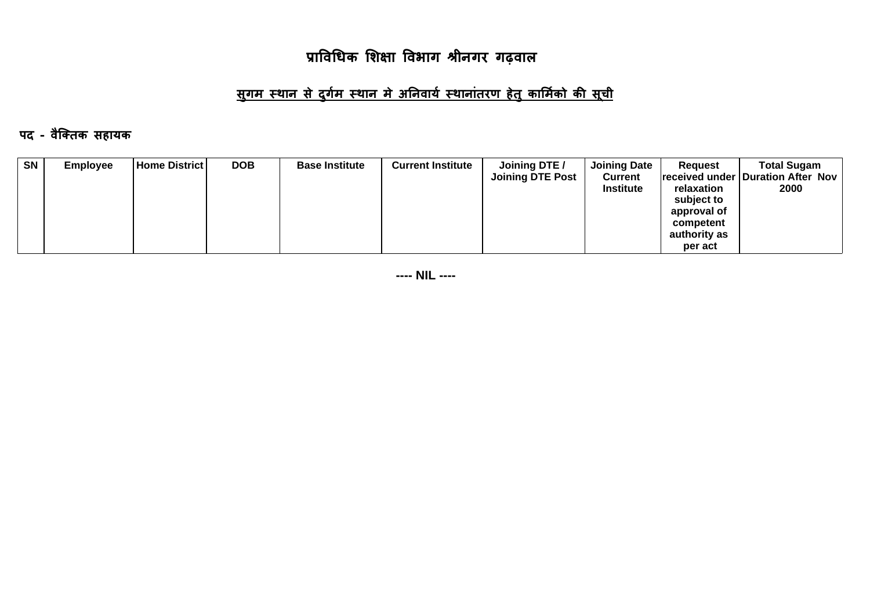## <u>सुगम स्थान से दुर्गम स्थान मे अनिवार्य स्थानांतरण हेतु कार्मिको की सूची</u>

#### पद - वैक्तिक सहायक

| <b>SN</b> | <b>Employee</b> | <b>Home District</b> | <b>DOB</b> | <b>Base Institute</b> | <b>Current Institute</b> | Joining DTE /<br><b>Joining DTE Post</b> | <b>Joining Date</b><br><b>Current</b> | <b>Request</b>            | <b>Total Sugam</b><br> received under   Duration After Nov |
|-----------|-----------------|----------------------|------------|-----------------------|--------------------------|------------------------------------------|---------------------------------------|---------------------------|------------------------------------------------------------|
|           |                 |                      |            |                       |                          |                                          | <b>Institute</b>                      | relaxation<br>subject to  | 2000                                                       |
|           |                 |                      |            |                       |                          |                                          |                                       | approval of               |                                                            |
|           |                 |                      |            |                       |                          |                                          |                                       | competent<br>authority as |                                                            |
|           |                 |                      |            |                       |                          |                                          |                                       | per act                   |                                                            |

**---- NIL ----**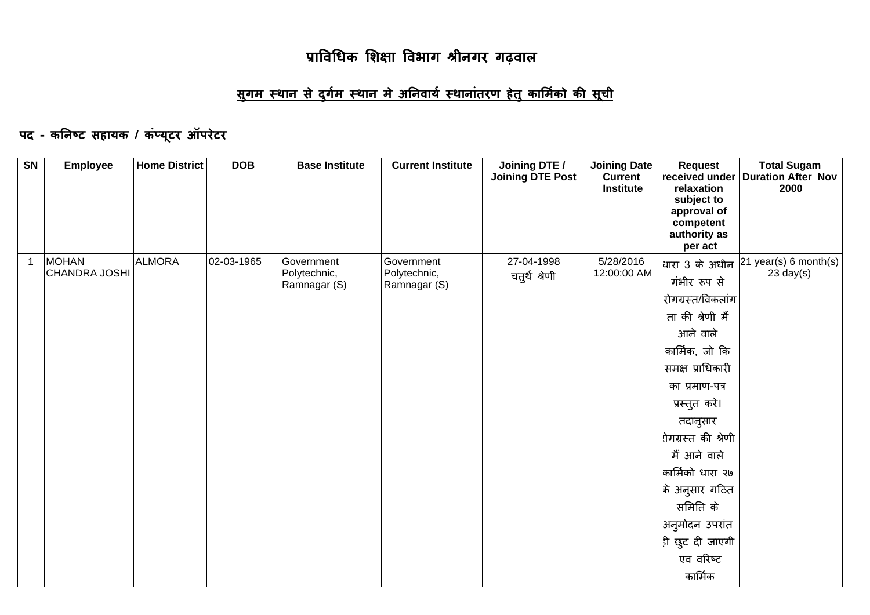## <u>सुगम स्थान से दुर्गम स्थान मे अनिवार्य स्थानांतरण हेतु कार्मिको की सूची</u>

## पद - कनिष्ट सहायक / कंप्यूटर ऑपरेटर

| SN           | <b>Employee</b>                      | <b>Home District</b> | <b>DOB</b> | <b>Base Institute</b>                      | <b>Current Institute</b>                   | Joining DTE /<br><b>Joining DTE Post</b> | <b>Joining Date</b><br><b>Current</b><br><b>Institute</b> | <b>Request</b><br>relaxation<br>subject to<br>approval of<br>competent<br>authority as<br>per act                                                                                                                                                                                                                                            | <b>Total Sugam</b><br>received under Duration After Nov<br>2000 |
|--------------|--------------------------------------|----------------------|------------|--------------------------------------------|--------------------------------------------|------------------------------------------|-----------------------------------------------------------|----------------------------------------------------------------------------------------------------------------------------------------------------------------------------------------------------------------------------------------------------------------------------------------------------------------------------------------------|-----------------------------------------------------------------|
| $\mathbf{1}$ | <b>MOHAN</b><br><b>CHANDRA JOSHI</b> | <b>ALMORA</b>        | 02-03-1965 | Government<br>Polytechnic,<br>Ramnagar (S) | Government<br>Polytechnic,<br>Ramnagar (S) | 27-04-1998<br>चतुर्थ श्रेणी              | 5/28/2016<br>12:00:00 AM                                  | <mark>धारा 3 के अधीन</mark><br>गंभीर रूप से<br>रोगग्रस्त/विकलांग<br>ता की श्रेणी मैं<br>आने वाले<br>कार्मिक, जो कि<br>समक्ष प्राधिकारी<br>का प्रमाण-पत्र<br>प्रस्तुत करे।<br>तदानुसार<br>रोगग्रस्त की श्रेणी<br>मैं आने वाले<br>कार्मिको धारा २७<br> के अनुसार गठित<br>समिति के<br>अनुमोदन उपरांत<br>ही छुट दी जाएगी<br>एव वरिष्ट<br>कार्मिक | 21 year(s) 6 month(s)<br>$23$ day(s)                            |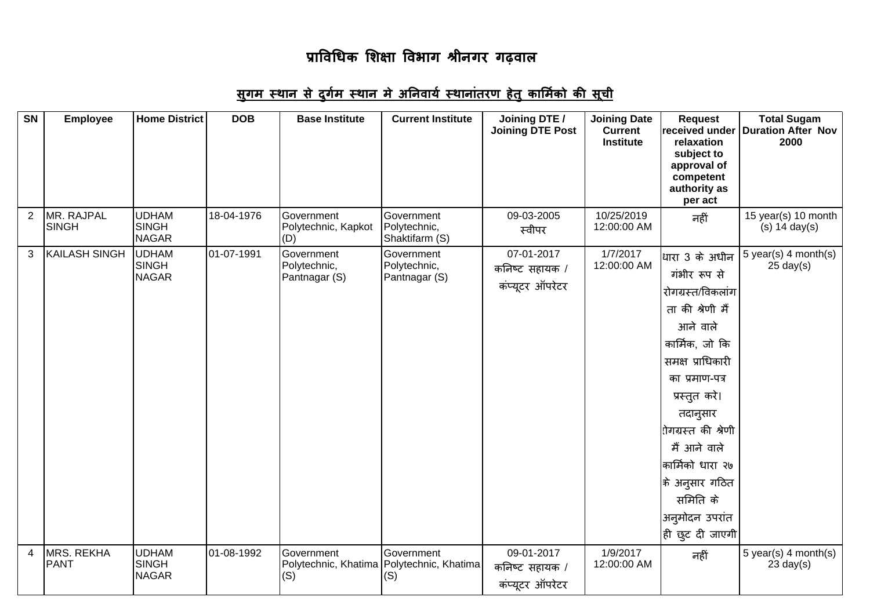## <u>सुगम स्थान से दुर्गम स्थान मे अनिवार्य स्थानांतरण हेतु कार्मिको की सूची</u>

| SN             | <b>Employee</b>                  | <b>Home District</b>                         | <b>DOB</b> | <b>Base Institute</b>                                            | <b>Current Institute</b>                     | Joining DTE /<br><b>Joining DTE Post</b>        | <b>Joining Date</b><br><b>Current</b><br><b>Institute</b> | <b>Request</b><br>received under<br>relaxation<br>subject to<br>approval of<br>competent<br>authority as<br>per act                                                                                                                                                                                                                    | <b>Total Sugam</b><br><b>Duration After Nov</b><br>2000 |
|----------------|----------------------------------|----------------------------------------------|------------|------------------------------------------------------------------|----------------------------------------------|-------------------------------------------------|-----------------------------------------------------------|----------------------------------------------------------------------------------------------------------------------------------------------------------------------------------------------------------------------------------------------------------------------------------------------------------------------------------------|---------------------------------------------------------|
| 2              | MR. RAJPAL<br><b>SINGH</b>       | <b>UDHAM</b><br><b>SINGH</b><br><b>NAGAR</b> | 18-04-1976 | Government<br>Polytechnic, Kapkot<br>(D)                         | Government<br>Polytechnic,<br>Shaktifarm (S) | 09-03-2005<br>स्वीपर                            | 10/25/2019<br>12:00:00 AM                                 | नहीं                                                                                                                                                                                                                                                                                                                                   | 15 year(s) 10 month<br>$(s)$ 14 day $(s)$               |
| 3              | <b>KAILASH SINGH</b>             | <b>UDHAM</b><br><b>SINGH</b><br><b>NAGAR</b> | 01-07-1991 | Government<br>Polytechnic,<br>Pantnagar (S)                      | Government<br>Polytechnic,<br>Pantnagar (S)  | 07-01-2017<br>कनिष्ट सहायक /<br>कंप्यूटर ऑपरेटर | 1/7/2017<br>12:00:00 AM                                   | धारा 3 के अधीन<br>गंभीर रूप से<br>रोगग्रस्त/विकलांग<br>ता की श्रेणी मैं<br>आने वाले<br>कार्मिक, जो कि<br>समक्ष प्राधिकारी<br>का प्रमाण-पत्र<br>प्रस्तुत करे।<br>तदानुसार<br>रोगग्रस्त की श्रेणी<br>मैं आने वाले<br>कार्मिको धारा २७<br>$\left  \hat{\ast} \right\rangle$ अनुसार गठित<br>समिति के<br>अनुमोदन उपरांत<br> ही छुट दी जाएगी | 5 year(s) 4 month(s)<br>$25 \text{ day}(s)$             |
| $\overline{4}$ | <b>MRS. REKHA</b><br><b>PANT</b> | <b>UDHAM</b><br><b>SINGH</b><br><b>NAGAR</b> | 01-08-1992 | Government<br>Polytechnic, Khatima   Polytechnic, Khatima<br>(S) | Government<br>(S)                            | 09-01-2017<br>कनिष्ट सहायक /<br>कंप्यूटर ऑपरेटर | 1/9/2017<br>12:00:00 AM                                   | नहीं                                                                                                                                                                                                                                                                                                                                   | 5 year(s) $4$ month(s)<br>$23$ day(s)                   |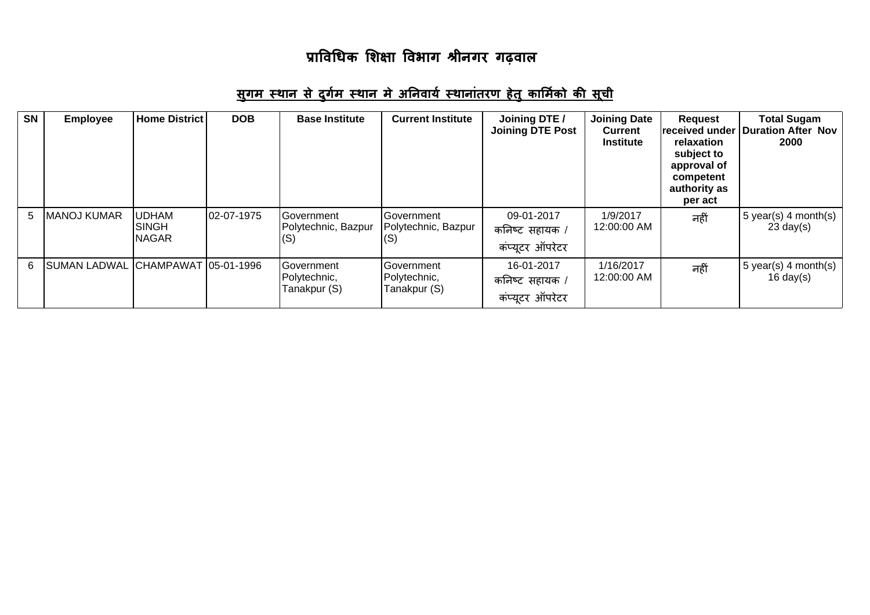## <u>सुगम स्थान से दुर्गम स्थान मे अनिवार्य स्थानांतरण हेतु कार्मिको की सूची</u>

| <b>SN</b> | <b>Employee</b>      | <b>Home District</b>                    | <b>DOB</b> | <b>Base Institute</b>                           | <b>Current Institute</b>                   | Joining DTE /<br><b>Joining DTE Post</b>        | <b>Joining Date</b><br><b>Current</b><br><b>Institute</b> | <b>Request</b><br>lreceived under<br>relaxation<br>subject to<br>approval of<br>competent<br>authority as<br>per act | <b>Total Sugam</b><br><b>Duration After Nov</b><br>2000 |
|-----------|----------------------|-----------------------------------------|------------|-------------------------------------------------|--------------------------------------------|-------------------------------------------------|-----------------------------------------------------------|----------------------------------------------------------------------------------------------------------------------|---------------------------------------------------------|
| 5.        | <b>MANOJ KUMAR</b>   | <b>IUDHAM</b><br>ISINGH<br><b>NAGAR</b> | 02-07-1975 | <b>Government</b><br>Polytechnic, Bazpur<br>(S) | Government<br>Polytechnic, Bazpur<br>(S)   | 09-01-2017<br>कनिष्ट सहायक /<br>कंप्यूटर ऑपरेटर | 1/9/2017<br>12:00:00 AM                                   | नहीं                                                                                                                 | 5 year(s) 4 month(s)<br>$23 \text{ day}(s)$             |
| 6.        | <b>ISUMAN LADWAL</b> |                                         |            | Government<br>Polytechnic,<br>Tanakpur (S)      | Government<br>Polytechnic,<br>Tanakpur (S) | 16-01-2017<br>कनिष्ट सहायक /<br>कंप्यूटर ऑपरेटर | 1/16/2017<br>12:00:00 AM                                  | नहीं                                                                                                                 | 5 year(s) 4 month(s)<br>$16 \text{ day}(s)$             |